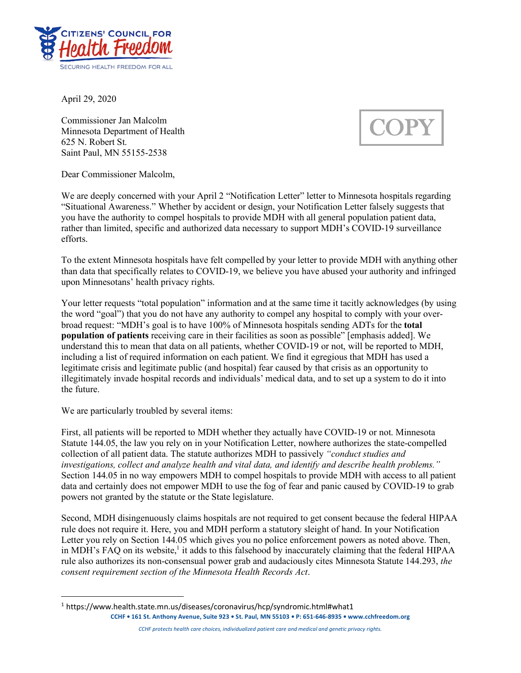

April 29, 2020

Commissioner Jan Malcolm Minnesota Department of Health 625 N. Robert St. Saint Paul, MN 55155-2538

**COPY** 

Dear Commissioner Malcolm,

We are deeply concerned with your April 2 "Notification Letter" letter to Minnesota hospitals regarding "Situational Awareness." Whether by accident or design, your Notification Letter falsely suggests that you have the authority to compel hospitals to provide MDH with all general population patient data, rather than limited, specific and authorized data necessary to support MDH's COVID-19 surveillance efforts.

To the extent Minnesota hospitals have felt compelled by your letter to provide MDH with anything other than data that specifically relates to COVID-19, we believe you have abused your authority and infringed upon Minnesotans' health privacy rights.

Your letter requests "total population" information and at the same time it tacitly acknowledges (by using the word "goal") that you do not have any authority to compel any hospital to comply with your overbroad request: "MDH's goal is to have 100% of Minnesota hospitals sending ADTs for the **total population of patients** receiving care in their facilities as soon as possible" [emphasis added]. We understand this to mean that data on all patients, whether COVID-19 or not, will be reported to MDH, including a list of required information on each patient. We find it egregious that MDH has used a legitimate crisis and legitimate public (and hospital) fear caused by that crisis as an opportunity to illegitimately invade hospital records and individuals' medical data, and to set up a system to do it into the future.

We are particularly troubled by several items:

First, all patients will be reported to MDH whether they actually have COVID-19 or not. Minnesota Statute 144.05, the law you rely on in your Notification Letter, nowhere authorizes the state-compelled collection of all patient data. The statute authorizes MDH to passively *"conduct studies and investigations, collect and analyze health and vital data, and identify and describe health problems."*  Section 144.05 in no way empowers MDH to compel hospitals to provide MDH with access to all patient data and certainly does not empower MDH to use the fog of fear and panic caused by COVID-19 to grab powers not granted by the statute or the State legislature.

Second, MDH disingenuously claims hospitals are not required to get consent because the federal HIPAA rule does not require it. Here, you and MDH perform a statutory sleight of hand. In your Notification Letter you rely on Section 144.05 which gives you no police enforcement powers as noted above. Then, in MDH's FAQ on its website,<sup>1</sup> it adds to this falsehood by inaccurately claiming that the federal HIPAA rule also authorizes its non-consensual power grab and audaciously cites Minnesota Statute 144.293, *the consent requirement section of the Minnesota Health Records Act*.

*CCHF protects health care choices, individualized patient care and medical and genetic privacy rights.*

**CCHF • 161 St. Anthony Avenue, Suite 923 • St. Paul, MN 55103 • P: 651-646-8935 • www.cchfreedom.org** 1 https://www.health.state.mn.us/diseases/coronavirus/hcp/syndromic.html#what1